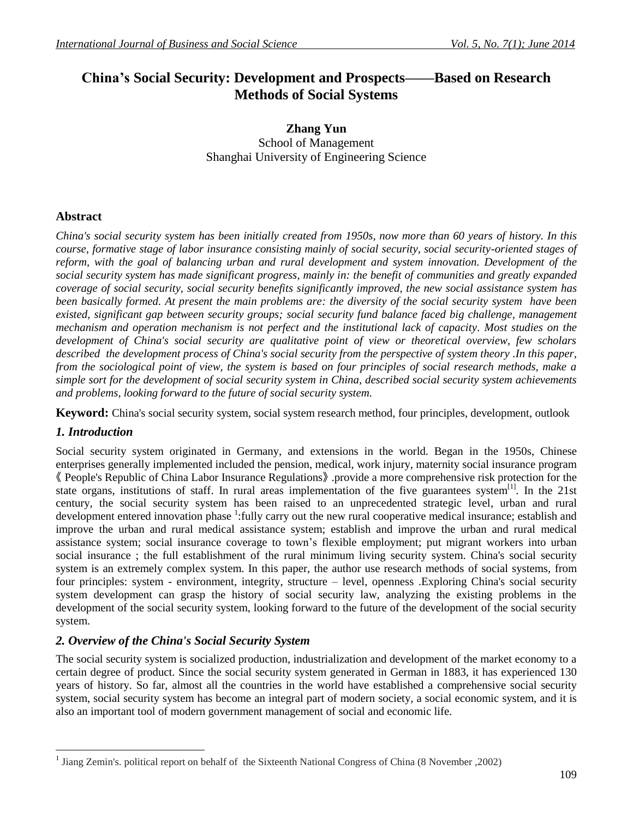# **China's Social Security: Development and Prospects——Based on Research Methods of Social Systems**

# **Zhang Yun** School of Management Shanghai University of Engineering Science

# **Abstract**

*China's social security system has been initially created from 1950s, now more than 60 years of history. In this course, formative stage of labor insurance consisting mainly of social security, social security-oriented stages of reform, with the goal of balancing urban and rural development and system innovation. Development of the social security system has made significant progress, mainly in: the benefit of communities and greatly expanded coverage of social security, social security benefits significantly improved, the new social assistance system has been basically formed. At present the main problems are: the diversity of the social security system have been existed, significant gap between security groups; social security fund balance faced big challenge, management mechanism and operation mechanism is not perfect and the institutional lack of capacity. Most studies on the development of China's social security are qualitative point of view or theoretical overview, few scholars described the development process of China's social security from the perspective of system theory .In this paper, from the sociological point of view, the system is based on four principles of social research methods, make a simple sort for the development of social security system in China, described social security system achievements and problems, looking forward to the future of social security system.*

**Keyword:** China's social security system, social system research method, four principles, development, outlook

# *1. Introduction*

 $\overline{a}$ 

Social security system originated in Germany, and extensions in the world. Began in the 1950s, Chinese enterprises generally implemented included the pension, medical, work injury, maternity social insurance program 《 People's Republic of China Labor Insurance Regulations》 .provide a more comprehensive risk protection for the state organs, institutions of staff. In rural areas implementation of the five guarantees system<sup>[1]</sup>. In the 21st century, the social security system has been raised to an unprecedented strategic level, urban and rural development entered innovation phase <sup>1</sup>: fully carry out the new rural cooperative medical insurance; establish and improve the urban and rural medical assistance system; establish and improve the urban and rural medical assistance system; social insurance coverage to town's flexible employment; put migrant workers into urban social insurance ; the full establishment of the rural minimum living security system. China's social security system is an extremely complex system. In this paper, the author use research methods of social systems, from four principles: system - environment, integrity, structure – level, openness .Exploring China's social security system development can grasp the history of social security law, analyzing the existing problems in the development of the social security system, looking forward to the future of the development of the social security system.

# *2. Overview of the China's Social Security System*

The social security system is socialized production, industrialization and development of the market economy to a certain degree of product. Since the social security system generated in German in 1883, it has experienced 130 years of history. So far, almost all the countries in the world have established a comprehensive social security system, social security system has become an integral part of modern society, a social economic system, and it is also an important tool of modern government management of social and economic life.

<sup>&</sup>lt;sup>1</sup> Jiang Zemin's. political report on behalf of the Sixteenth National Congress of China (8 November ,2002)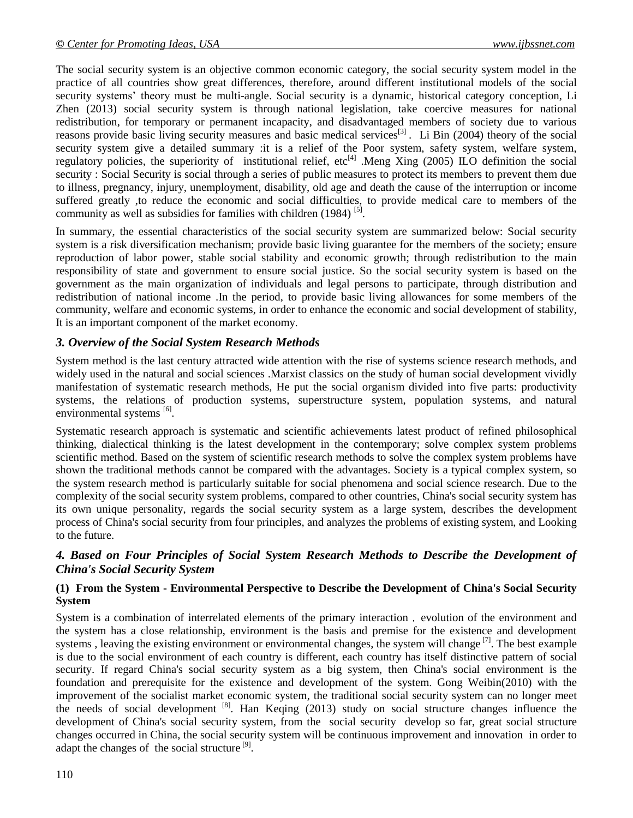The social security system is an objective common economic category, the social security system model in the practice of all countries show great differences, therefore, around different institutional models of the social security systems' theory must be multi-angle. Social security is a dynamic, historical category conception, Li Zhen (2013) social security system is through national legislation, take coercive measures for national redistribution, for temporary or permanent incapacity, and disadvantaged members of society due to various reasons provide basic living security measures and basic medical services<sup>[3]</sup>. Li Bin (2004) theory of the social security system give a detailed summary :it is a relief of the Poor system, safety system, welfare system, regulatory policies, the superiority of institutional relief,  $etc^{[4]}$ . Meng Xing (2005) ILO definition the social security : Social Security is social through a series of public measures to protect its members to prevent them due to illness, pregnancy, injury, unemployment, disability, old age and death the cause of the interruption or income suffered greatly ,to reduce the economic and social difficulties, to provide medical care to members of the community as well as subsidies for families with children  $(1984)$ <sup>[5]</sup>.

In summary, the essential characteristics of the social security system are summarized below: Social security system is a risk diversification mechanism; provide basic living guarantee for the members of the society; ensure reproduction of labor power, stable social stability and economic growth; through redistribution to the main responsibility of state and government to ensure social justice. So the social security system is based on the government as the main organization of individuals and legal persons to participate, through distribution and redistribution of national income .In the period, to provide basic living allowances for some members of the community, welfare and economic systems, in order to enhance the economic and social development of stability, It is an important component of the market economy.

# *3. Overview of the Social System Research Methods*

System method is the last century attracted wide attention with the rise of systems science research methods, and widely used in the natural and social sciences .Marxist classics on the study of human social development vividly manifestation of systematic research methods, He put the social organism divided into five parts: productivity systems, the relations of production systems, superstructure system, population systems, and natural environmental systems [6].

Systematic research approach is systematic and scientific achievements latest product of refined philosophical thinking, dialectical thinking is the latest development in the contemporary; solve complex system problems scientific method. Based on the system of scientific research methods to solve the complex system problems have shown the traditional methods cannot be compared with the advantages. Society is a typical complex system, so the system research method is particularly suitable for social phenomena and social science research. Due to the complexity of the social security system problems, compared to other countries, China's social security system has its own unique personality, regards the social security system as a large system, describes the development process of China's social security from four principles, and analyzes the problems of existing system, and Looking to the future.

# *4. Based on Four Principles of Social System Research Methods to Describe the Development of China's Social Security System*

#### **(1) From the System - Environmental Perspective to Describe the Development of China's Social Security System**

System is a combination of interrelated elements of the primary interaction, evolution of the environment and the system has a close relationship, environment is the basis and premise for the existence and development systems, leaving the existing environment or environmental changes, the system will change<sup>[7]</sup>. The best example is due to the social environment of each country is different, each country has itself distinctive pattern of social security. If regard China's social security system as a big system, then China's social environment is the foundation and prerequisite for the existence and development of the system. Gong Weibin(2010) with the improvement of the socialist market economic system, the traditional social security system can no longer meet the needs of social development [8]. Han Keqing (2013) study on social structure changes influence the development of China's social security system, from the social security develop so far, great social structure changes occurred in China, the social security system will be continuous improvement and innovation in order to adapt the changes of the social structure<sup>[9]</sup>.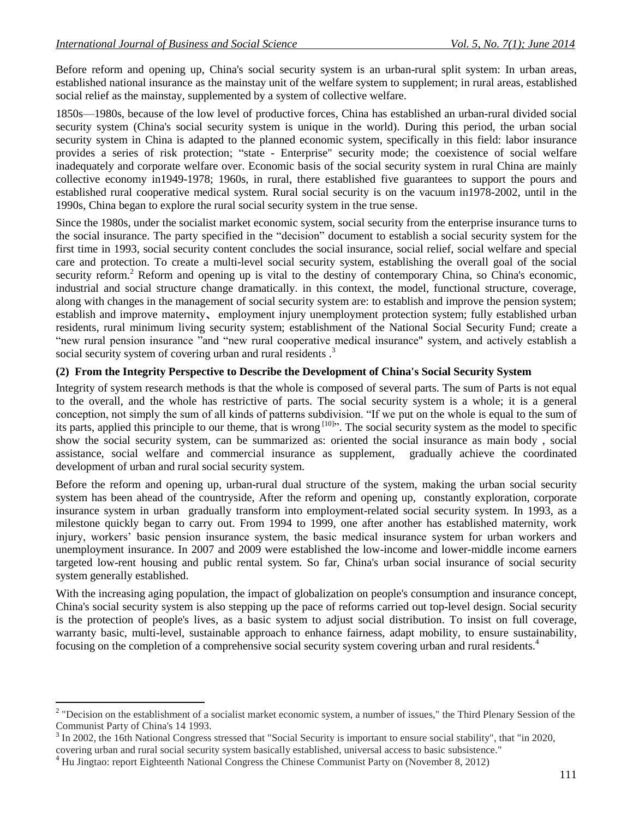Before reform and opening up, China's social security system is an urban-rural split system: In urban areas, established national insurance as the mainstay unit of the welfare system to supplement; in rural areas, established social relief as the mainstay, supplemented by a system of collective welfare.

1850s—1980s, because of the low level of productive forces, China has established an urban-rural divided social security system (China's social security system is unique in the world). During this period, the urban social security system in China is adapted to the planned economic system, specifically in this field: labor insurance provides a series of risk protection; "state - Enterprise" security mode; the coexistence of social welfare inadequately and corporate welfare over. Economic basis of the social security system in rural China are mainly collective economy in1949-1978; 1960s, in rural, there established five guarantees to support the pours and established rural cooperative medical system. Rural social security is on the vacuum in1978-2002, until in the 1990s, China began to explore the rural social security system in the true sense.

Since the 1980s, under the socialist market economic system, social security from the enterprise insurance turns to the social insurance. The party specified in the "decision" document to establish a social security system for the first time in 1993, social security content concludes the social insurance, social relief, social welfare and special care and protection. To create a multi-level social security system, establishing the overall goal of the social security reform.<sup>2</sup> Reform and opening up is vital to the destiny of contemporary China, so China's economic, industrial and social structure change dramatically. in this context, the model, functional structure, coverage, along with changes in the management of social security system are: to establish and improve the pension system; establish and improve maternity、 employment injury unemployment protection system; fully established urban residents, rural minimum living security system; establishment of the National Social Security Fund; create a "new rural pension insurance "and "new rural cooperative medical insurance" system, and actively establish a social security system of covering urban and rural residents.<sup>3</sup>

#### **(2) From the Integrity Perspective to Describe the Development of China's Social Security System**

Integrity of system research methods is that the whole is composed of several parts. The sum of Parts is not equal to the overall, and the whole has restrictive of parts. The social security system is a whole; it is a general conception, not simply the sum of all kinds of patterns subdivision. "If we put on the whole is equal to the sum of its parts, applied this principle to our theme, that is wrong <sup>[10]</sup>. The social security system as the model to specific show the social security system, can be summarized as: oriented the social insurance as main body , social assistance, social welfare and commercial insurance as supplement, gradually achieve the coordinated development of urban and rural social security system.

Before the reform and opening up, urban-rural dual structure of the system, making the urban social security system has been ahead of the countryside, After the reform and opening up, constantly exploration, corporate insurance system in urban gradually transform into employment-related social security system. In 1993, as a milestone quickly began to carry out. From 1994 to 1999, one after another has established maternity, work injury, workers' basic pension insurance system, the basic medical insurance system for urban workers and unemployment insurance. In 2007 and 2009 were established the low-income and lower-middle income earners targeted low-rent housing and public rental system. So far, China's urban social insurance of social security system generally established.

With the increasing aging population, the impact of globalization on people's consumption and insurance concept, China's social security system is also stepping up the pace of reforms carried out top-level design. Social security is the protection of people's lives, as a basic system to adjust social distribution. To insist on full coverage, warranty basic, multi-level, sustainable approach to enhance fairness, adapt mobility, to ensure sustainability, focusing on the completion of a comprehensive social security system covering urban and rural residents.<sup>4</sup>

111

<sup>&</sup>lt;sup>2</sup> "Decision on the establishment of a socialist market economic system, a number of issues," the Third Plenary Session of the Communist Party of China's 14 1993.

<sup>3</sup> In 2002, the 16th National Congress stressed that "Social Security is important to ensure social stability", that "in 2020,

covering urban and rural social security system basically established, universal access to basic subsistence." <sup>4</sup> Hu Jingtao: report Eighteenth National Congress the Chinese Communist Party on (November 8, 2012)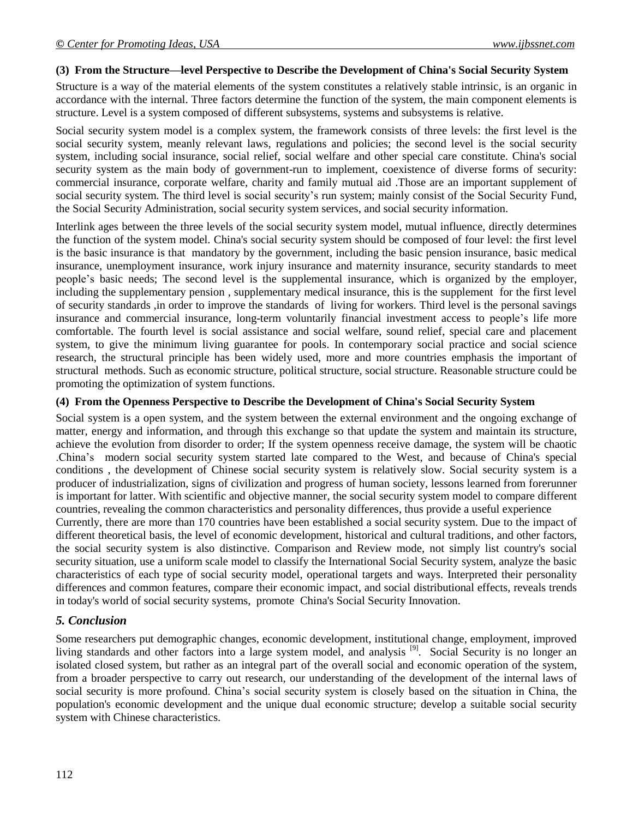#### **(3) From the Structure—level Perspective to Describe the Development of China's Social Security System**

Structure is a way of the material elements of the system constitutes a relatively stable intrinsic, is an organic in accordance with the internal. Three factors determine the function of the system, the main component elements is structure. Level is a system composed of different subsystems, systems and subsystems is relative.

Social security system model is a complex system, the framework consists of three levels: the first level is the social security system, meanly relevant laws, regulations and policies; the second level is the social security system, including social insurance, social relief, social welfare and other special care constitute. China's social security system as the main body of government-run to implement, coexistence of diverse forms of security: commercial insurance, corporate welfare, charity and family mutual aid .Those are an important supplement of social security system. The third level is social security's run system; mainly consist of the Social Security Fund, the Social Security Administration, social security system services, and social security information.

Interlink ages between the three levels of the social security system model, mutual influence, directly determines the function of the system model. China's social security system should be composed of four level: the first level is the basic insurance is that mandatory by the government, including the basic pension insurance, basic medical insurance, unemployment insurance, work injury insurance and maternity insurance, security standards to meet people's basic needs; The second level is the supplemental insurance, which is organized by the employer, including the supplementary pension , supplementary medical insurance, this is the supplement for the first level of security standards ,in order to improve the standards of living for workers. Third level is the personal savings insurance and commercial insurance, long-term voluntarily financial investment access to people's life more comfortable. The fourth level is social assistance and social welfare, sound relief, special care and placement system, to give the minimum living guarantee for pools. In contemporary social practice and social science research, the structural principle has been widely used, more and more countries emphasis the important of structural methods. Such as economic structure, political structure, social structure. Reasonable structure could be promoting the optimization of system functions.

#### **(4) From the Openness Perspective to Describe the Development of China's Social Security System**

Social system is a open system, and the system between the external environment and the ongoing exchange of matter, energy and information, and through this exchange so that update the system and maintain its structure, achieve the evolution from disorder to order; If the system openness receive damage, the system will be chaotic .China's modern social security system started late compared to the West, and because of China's special conditions , the development of Chinese social security system is relatively slow. Social security system is a producer of industrialization, signs of civilization and progress of human society, lessons learned from forerunner is important for latter. With scientific and objective manner, the social security system model to compare different countries, revealing the common characteristics and personality differences, thus provide a useful experience

Currently, there are more than 170 countries have been established a social security system. Due to the impact of different theoretical basis, the level of economic development, historical and cultural traditions, and other factors, the social security system is also distinctive. Comparison and Review mode, not simply list country's social security situation, use a uniform scale model to classify the International Social Security system, analyze the basic characteristics of each type of social security model, operational targets and ways. Interpreted their personality differences and common features, compare their economic impact, and social distributional effects, reveals trends in today's world of social security systems, promote China's Social Security Innovation.

# *5. Conclusion*

Some researchers put demographic changes, economic development, institutional change, employment, improved living standards and other factors into a large system model, and analysis<sup>[9]</sup>. Social Security is no longer an isolated closed system, but rather as an integral part of the overall social and economic operation of the system, from a broader perspective to carry out research, our understanding of the development of the internal laws of social security is more profound. China's social security system is closely based on the situation in China, the population's economic development and the unique dual economic structure; develop a suitable social security system with Chinese characteristics.